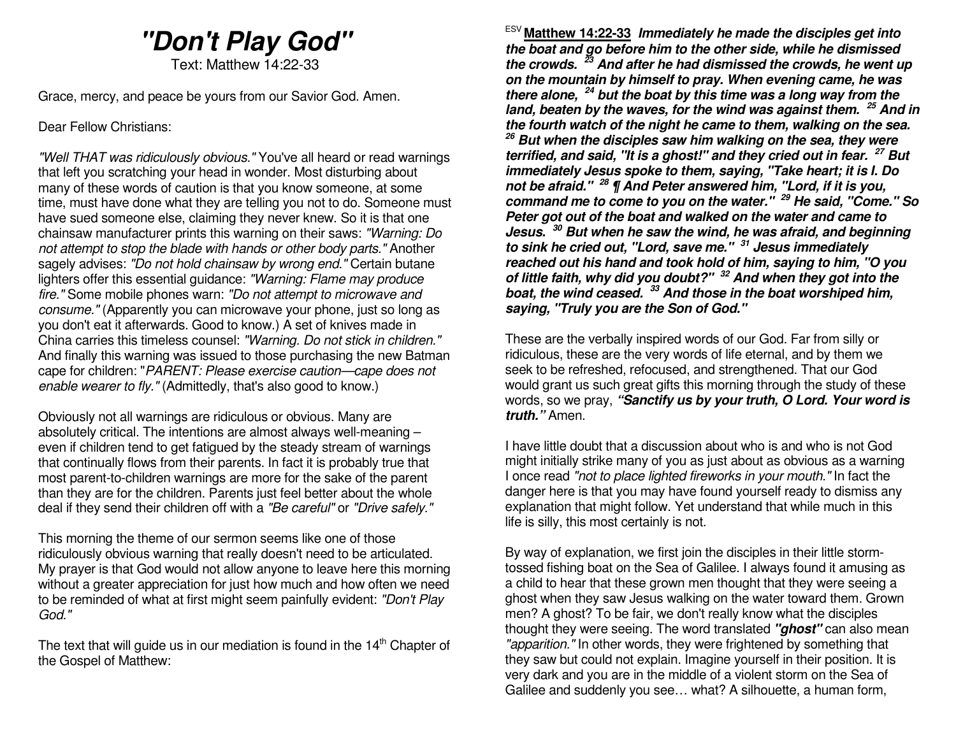# **"Don't Play God"**

Text: Matthew 14:22-33

Grace, mercy, and peace be yours from our Savior God. Amen.

Dear Fellow Christians:

"Well THAT was ridiculously obvious." You've all heard or read warnings that left you scratching your head in wonder. Most disturbing about many of these words of caution is that you know someone, at some time, must have done what they are telling you not to do. Someone must have sued someone else, claiming they never knew. So it is that one chainsaw manufacturer prints this warning on their saws: "Warning: Do not attempt to stop the blade with hands or other body parts." Another sagely advises: "Do not hold chainsaw by wrong end." Certain butane lighters offer this essential guidance: "Warning: Flame may produce fire." Some mobile phones warn: "Do not attempt to microwave and consume." (Apparently you can microwave your phone, just so long as you don't eat it afterwards. Good to know.) A set of knives made in China carries this timeless counsel: "Warning. Do not stick in children." And finally this warning was issued to those purchasing the new Batman cape for children: "PARENT: Please exercise caution—cape does not enable wearer to fly." (Admittedly, that's also good to know.)

Obviously not all warnings are ridiculous or obvious. Many are absolutely critical. The intentions are almost always well-meaning – even if children tend to get fatigued by the steady stream of warnings that continually flows from their parents. In fact it is probably true that most parent-to-children warnings are more for the sake of the parent than they are for the children. Parents just feel better about the whole deal if they send their children off with a "Be careful" or "Drive safely."

This morning the theme of our sermon seems like one of those ridiculously obvious warning that really doesn't need to be articulated. My prayer is that God would not allow anyone to leave here this morning without a greater appreciation for just how much and how often we need to be reminded of what at first might seem painfully evident: "Don't Play God."

The text that will guide us in our mediation is found in the  $14<sup>th</sup>$  Chapter of the Gospel of Matthew:

ESV **Matthew 14:22-33 Immediately he made the disciples get into the boat and go before him to the other side, while he dismissed the crowds. <sup>23</sup> And after he had dismissed the crowds, he went up on the mountain by himself to pray. When evening came, he was there alone, <sup>24</sup> but the boat by this time was a long way from the land, beaten by the waves, for the wind was against them. <sup>25</sup> And in the fourth watch of the night he came to them, walking on the sea. <sup>26</sup> But when the disciples saw him walking on the sea, they were terrified, and said, "It is a ghost!" and they cried out in fear. <sup>27</sup> But immediately Jesus spoke to them, saying, "Take heart; it is I. Do not be afraid." <sup>28</sup> ¶ And Peter answered him, "Lord, if it is you, command me to come to you on the water." <sup>29</sup> He said, "Come." So Peter got out of the boat and walked on the water and came to Jesus. <sup>30</sup> But when he saw the wind, he was afraid, and beginning to sink he cried out, "Lord, save me." <sup>31</sup> Jesus immediately reached out his hand and took hold of him, saying to him, "O you of little faith, why did you doubt?" <sup>32</sup> And when they got into the boat, the wind ceased. <sup>33</sup> And those in the boat worshiped him, saying, "Truly you are the Son of God."** 

These are the verbally inspired words of our God. Far from silly or ridiculous, these are the very words of life eternal, and by them we seek to be refreshed, refocused, and strengthened. That our God would grant us such great gifts this morning through the study of these words, so we pray, **"Sanctify us by your truth, O Lord. Your word is truth."** Amen.

I have little doubt that a discussion about who is and who is not God might initially strike many of you as just about as obvious as a warning I once read "not to place lighted fireworks in your mouth." In fact the danger here is that you may have found yourself ready to dismiss any explanation that might follow. Yet understand that while much in this life is silly, this most certainly is not.

By way of explanation, we first join the disciples in their little stormtossed fishing boat on the Sea of Galilee. I always found it amusing as a child to hear that these grown men thought that they were seeing a ghost when they saw Jesus walking on the water toward them. Grown men? A ghost? To be fair, we don't really know what the disciples thought they were seeing. The word translated **"ghost"** can also mean "apparition." In other words, they were frightened by something that they saw but could not explain. Imagine yourself in their position. It is very dark and you are in the middle of a violent storm on the Sea of Galilee and suddenly you see… what? A silhouette, a human form,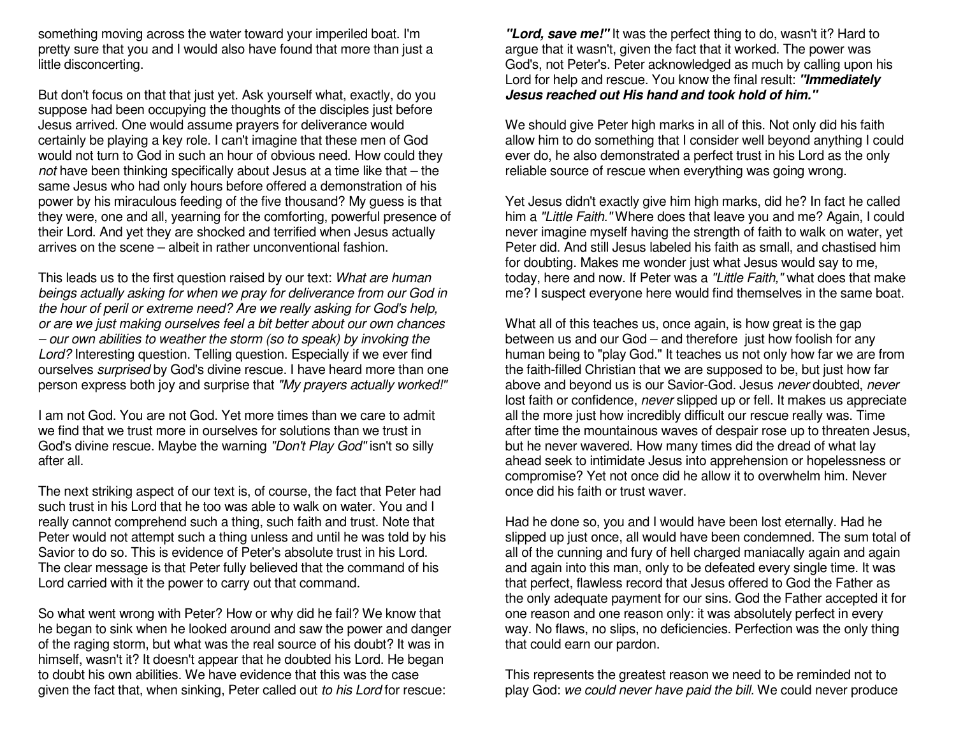something moving across the water toward your imperiled boat. I'm pretty sure that you and I would also have found that more than just a little disconcerting.

But don't focus on that that just yet. Ask yourself what, exactly, do you suppose had been occupying the thoughts of the disciples just before Jesus arrived. One would assume prayers for deliverance would certainly be playing a key role. I can't imagine that these men of God would not turn to God in such an hour of obvious need. How could they not have been thinking specifically about Jesus at a time like that – the same Jesus who had only hours before offered a demonstration of his power by his miraculous feeding of the five thousand? My guess is that they were, one and all, yearning for the comforting, powerful presence of their Lord. And yet they are shocked and terrified when Jesus actually arrives on the scene – albeit in rather unconventional fashion.

This leads us to the first question raised by our text: What are human beings actually asking for when we pray for deliverance from our God in the hour of peril or extreme need? Are we really asking for God's help, or are we just making ourselves feel a bit better about our own chances – our own abilities to weather the storm (so to speak) by invoking the Lord? Interesting question. Telling question. Especially if we ever find ourselves surprised by God's divine rescue. I have heard more than one person express both joy and surprise that *"My prayers actually worked!"* 

I am not God. You are not God. Yet more times than we care to admit we find that we trust more in ourselves for solutions than we trust in God's divine rescue. Maybe the warning "Don't Play God" isn't so silly after all.

The next striking aspect of our text is, of course, the fact that Peter had such trust in his Lord that he too was able to walk on water. You and I really cannot comprehend such a thing, such faith and trust. Note that Peter would not attempt such a thing unless and until he was told by his Savior to do so. This is evidence of Peter's absolute trust in his Lord. The clear message is that Peter fully believed that the command of his Lord carried with it the power to carry out that command.

So what went wrong with Peter? How or why did he fail? We know that he began to sink when he looked around and saw the power and danger of the raging storm, but what was the real source of his doubt? It was in himself, wasn't it? It doesn't appear that he doubted his Lord. He began to doubt his own abilities. We have evidence that this was the case given the fact that, when sinking, Peter called out to his Lord for rescue:

**"Lord, save me!"** It was the perfect thing to do, wasn't it? Hard to argue that it wasn't, given the fact that it worked. The power was God's, not Peter's. Peter acknowledged as much by calling upon his Lord for help and rescue. You know the final result: **"Immediately Jesus reached out His hand and took hold of him."**

We should give Peter high marks in all of this. Not only did his faith allow him to do something that I consider well beyond anything I could ever do, he also demonstrated a perfect trust in his Lord as the only reliable source of rescue when everything was going wrong.

Yet Jesus didn't exactly give him high marks, did he? In fact he called him a "Little Faith." Where does that leave you and me? Again, I could never imagine myself having the strength of faith to walk on water, yet Peter did. And still Jesus labeled his faith as small, and chastised him for doubting. Makes me wonder just what Jesus would say to me, today, here and now. If Peter was a "Little Faith," what does that make me? I suspect everyone here would find themselves in the same boat.

What all of this teaches us, once again, is how great is the gap between us and our God – and therefore just how foolish for any human being to "play God." It teaches us not only how far we are from the faith-filled Christian that we are supposed to be, but just how far above and beyond us is our Savior-God. Jesus never doubted, never lost faith or confidence, *never* slipped up or fell. It makes us appreciate all the more just how incredibly difficult our rescue really was. Time after time the mountainous waves of despair rose up to threaten Jesus, but he never wavered. How many times did the dread of what lay ahead seek to intimidate Jesus into apprehension or hopelessness or compromise? Yet not once did he allow it to overwhelm him. Never once did his faith or trust waver.

Had he done so, you and I would have been lost eternally. Had he slipped up just once, all would have been condemned. The sum total of all of the cunning and fury of hell charged maniacally again and again and again into this man, only to be defeated every single time. It was that perfect, flawless record that Jesus offered to God the Father as the only adequate payment for our sins. God the Father accepted it for one reason and one reason only: it was absolutely perfect in every way. No flaws, no slips, no deficiencies. Perfection was the only thing that could earn our pardon.

This represents the greatest reason we need to be reminded not to play God: we could never have paid the bill. We could never produce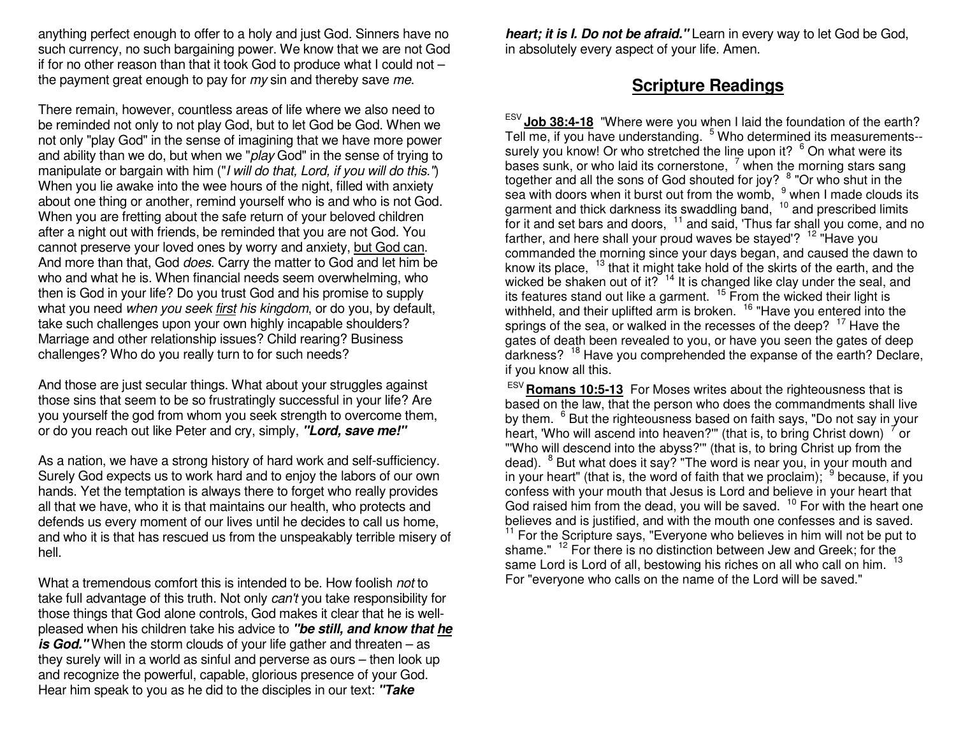anything perfect enough to offer to a holy and just God. Sinners have no such currency, no such bargaining power. We know that we are not God if for no other reason than that it took God to produce what I could not – the payment great enough to pay for  $my \sin$  and thereby save me.

There remain, however, countless areas of life where we also need to be reminded not only to not play God, but to let God be God. When we not only "play God" in the sense of imagining that we have more power and ability than we do, but when we "play God" in the sense of trying to manipulate or bargain with him ("I will do that, Lord, if you will do this.") When you lie awake into the wee hours of the night, filled with anxiety about one thing or another, remind yourself who is and who is not God. When you are fretting about the safe return of your beloved children after a night out with friends, be reminded that you are not God. You cannot preserve your loved ones by worry and anxiety, but God can. And more than that, God does. Carry the matter to God and let him be who and what he is. When financial needs seem overwhelming, who then is God in your life? Do you trust God and his promise to supply what you need when you seek first his kingdom, or do you, by default, take such challenges upon your own highly incapable shoulders? Marriage and other relationship issues? Child rearing? Business challenges? Who do you really turn to for such needs?

And those are just secular things. What about your struggles against those sins that seem to be so frustratingly successful in your life? Are you yourself the god from whom you seek strength to overcome them, or do you reach out like Peter and cry, simply, **"Lord, save me!"**

As a nation, we have a strong history of hard work and self-sufficiency. Surely God expects us to work hard and to enjoy the labors of our own hands. Yet the temptation is always there to forget who really provides all that we have, who it is that maintains our health, who protects and defends us every moment of our lives until he decides to call us home, and who it is that has rescued us from the unspeakably terrible misery of hell.

What a tremendous comfort this is intended to be. How foolish not to take full advantage of this truth. Not only *can't* you take responsibility for those things that God alone controls, God makes it clear that he is wellpleased when his children take his advice to **"be still, and know that heis God."** When the storm clouds of your life gather and threaten – as they surely will in a world as sinful and perverse as ours – then look up and recognize the powerful, capable, glorious presence of your God. Hear him speak to you as he did to the disciples in our text: **"Take** 

**heart; it is I. Do not be afraid."** Learn in every way to let God be God, in absolutely every aspect of your life. Amen.

## **Scripture Readings**

ESV **Job 38:4-18** "Where were you when I laid the foundation of the earth? Tell me, if you have understanding. <sup>5</sup> Who determined its measurements-surely you know! Or who stretched the line upon it? <sup>6</sup> On what were its bases sunk, or who laid its cornerstone,  $\frac{7}{1}$  when the morning stars sang together and all the sons of God shouted for joy?  $^8$  "Or who shut in the together and all the sons of God shouted for joy? <sup>8</sup> "Or who shut in the<br>sea with doors when it burst out from the womb, <sup>9</sup> when I made clouds its<br>garment and thick darkness its swaddling band, <sup>10</sup> and prescribed limits for it and set bars and doors,  $11$  and said, 'Thus far shall you come, and no farther, and here shall your proud waves be stayed'?  $12$  "Have you commanded the morning since your days began, and caused the dawn to know its place,  $13$  that it might take hold of the skirts of the earth, and the wicked be shaken out of it?  $14$  It is changed like clay under the seal, and its features stand out like a garment. <sup>15</sup> From the wicked their light is withheld, and their uplifted arm is broken. <sup>16</sup> "Have you entered into the springs of the sea, or walked in the recesses of the deep? <sup>17</sup> Have the gates of death been revealed to you, or have you seen the gates of deep darkness? <sup>18</sup> Have you comprehended the expanse of the earth? Declare, if you know all this.

 ESV **Romans 10:5-13** For Moses writes about the righteousness that is based on the law, that the person who does the commandments shall live by them. <sup>6</sup> But the righteousness based on faith says, "Do not say in your heart, 'Who will ascend into heaven?'" (that is, to bring Christ down)  $7$  or "'Who will descend into the abyss?'" (that is, to bring Christ up from the dead). <sup>8</sup> But what does it say? "The word is near you, in your mouth and in your heart" (that is, the word of faith that we proclaim);  $\frac{9}{5}$  because, if you confess with your mouth that Jesus is Lord and believe in your heart that God raised him from the dead, you will be saved.  $10$  For with the heart one believes and is justified, and with the mouth one confesses and is saved.<br><sup>11</sup> For the Scripture says, "Everyone who believes in him will not be put to shame." <sup>12</sup> For there is no distinction between Jew and Greek; for the same Lord is Lord of all, bestowing his riches on all who call on him. <sup>13</sup> For "everyone who calls on the name of the Lord will be saved."